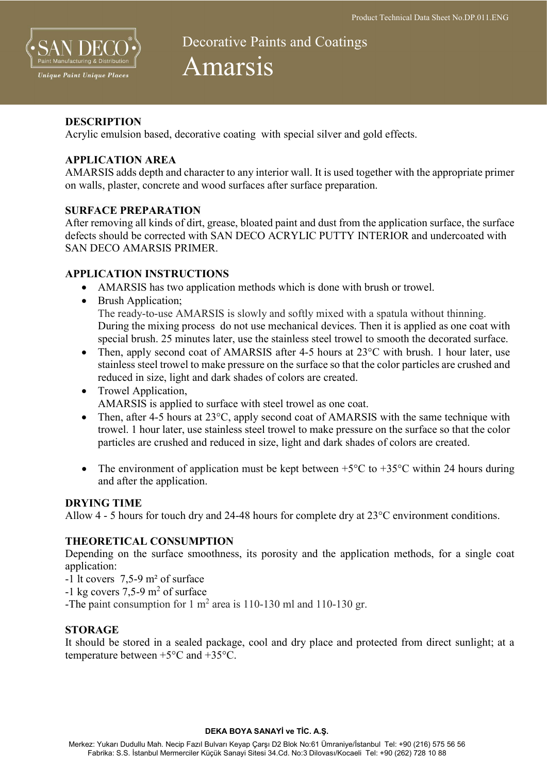

# Decorative Paints and Coatings Amarsis

#### **DESCRIPTION**

Acrylic emulsion based, decorative coating with special silver and gold effects.

## APPLICATION AREA

AMARSIS adds depth and character to any interior wall. It is used together with the appropriate primer on walls, plaster, concrete and wood surfaces after surface preparation.

#### SURFACE PREPARATION

After removing all kinds of dirt, grease, bloated paint and dust from the application surface, the surface defects should be corrected with SAN DECO ACRYLIC PUTTY INTERIOR and undercoated with SAN DECO AMARSIS PRIMER.

#### APPLICATION INSTRUCTIONS

- AMARSIS has two application methods which is done with brush or trowel.
- Brush Application; The ready-to-use AMARSIS is slowly and softly mixed with a spatula without thinning. During the mixing process do not use mechanical devices. Then it is applied as one coat with special brush. 25 minutes later, use the stainless steel trowel to smooth the decorated surface.
- Then, apply second coat of AMARSIS after 4-5 hours at 23<sup>o</sup>C with brush. 1 hour later, use stainless steel trowel to make pressure on the surface so that the color particles are crushed and reduced in size, light and dark shades of colors are created.
- Trowel Application, AMARSIS is applied to surface with steel trowel as one coat.
- Then, after 4-5 hours at 23<sup>o</sup>C, apply second coat of AMARSIS with the same technique with trowel. 1 hour later, use stainless steel trowel to make pressure on the surface so that the color particles are crushed and reduced in size, light and dark shades of colors are created.
- The environment of application must be kept between  $+5^{\circ}$ C to  $+35^{\circ}$ C within 24 hours during and after the application.

#### DRYING TIME

Allow 4 - 5 hours for touch dry and 24-48 hours for complete dry at 23°C environment conditions.

## THEORETICAL CONSUMPTION

Depending on the surface smoothness, its porosity and the application methods, for a single coat application:

- -1 lt covers 7,5-9 m² of surface
- $-1 \text{ kg covers } 7,5-9 \text{ m}^2 \text{ of surface}$
- -The paint consumption for 1  $m^2$  area is 110-130 ml and 110-130 gr.

## **STORAGE**

It should be stored in a sealed package, cool and dry place and protected from direct sunlight; at a temperature between +5°C and +35°C.